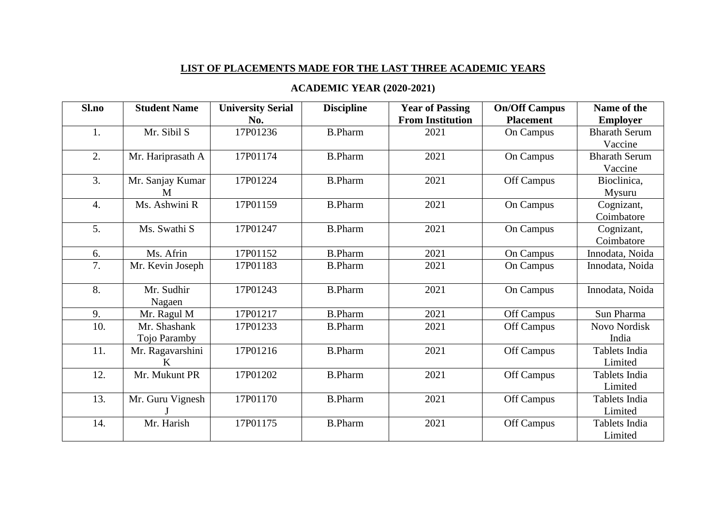## **LIST OF PLACEMENTS MADE FOR THE LAST THREE ACADEMIC YEARS**

## **ACADEMIC YEAR (2020-2021)**

| Sl.no            | <b>Student Name</b> | <b>University Serial</b> | <b>Discipline</b> | <b>Year of Passing</b>  | <b>On/Off Campus</b> | Name of the          |
|------------------|---------------------|--------------------------|-------------------|-------------------------|----------------------|----------------------|
|                  |                     | No.                      |                   | <b>From Institution</b> | <b>Placement</b>     | <b>Employer</b>      |
| 1.               | Mr. Sibil S         | 17P01236                 | <b>B.Pharm</b>    | 2021                    | On Campus            | <b>Bharath Serum</b> |
|                  |                     |                          |                   |                         |                      | Vaccine              |
| 2.               | Mr. Hariprasath A   | 17P01174                 | <b>B.Pharm</b>    | 2021                    | On Campus            | <b>Bharath Serum</b> |
|                  |                     |                          |                   |                         |                      | Vaccine              |
| 3.               | Mr. Sanjay Kumar    | 17P01224                 | <b>B.Pharm</b>    | 2021                    | Off Campus           | Bioclinica,          |
|                  | M                   |                          |                   |                         |                      | Mysuru               |
| $\overline{4}$ . | Ms. Ashwini R       | 17P01159                 | <b>B.Pharm</b>    | 2021                    | On Campus            | Cognizant,           |
|                  |                     |                          |                   |                         |                      | Coimbatore           |
| 5.               | Ms. Swathi S        | 17P01247                 | <b>B.Pharm</b>    | 2021                    | On Campus            | Cognizant,           |
|                  |                     |                          |                   |                         |                      | Coimbatore           |
| 6.               | Ms. Afrin           | 17P01152                 | <b>B.Pharm</b>    | 2021                    | On Campus            | Innodata, Noida      |
| 7.               | Mr. Kevin Joseph    | 17P01183                 | <b>B.Pharm</b>    | 2021                    | <b>On Campus</b>     | Innodata, Noida      |
|                  |                     |                          |                   |                         |                      |                      |
| 8.               | Mr. Sudhir          | 17P01243                 | <b>B.Pharm</b>    | 2021                    | On Campus            | Innodata, Noida      |
|                  | Nagaen              |                          |                   |                         |                      |                      |
| 9.               | Mr. Ragul M         | 17P01217                 | <b>B.Pharm</b>    | 2021                    | Off Campus           | Sun Pharma           |
| 10.              | Mr. Shashank        | 17P01233                 | <b>B.Pharm</b>    | 2021                    | Off Campus           | Novo Nordisk         |
|                  | Tojo Paramby        |                          |                   |                         |                      | India                |
| 11.              | Mr. Ragavarshini    | 17P01216                 | <b>B.Pharm</b>    | 2021                    | Off Campus           | Tablets India        |
|                  | K                   |                          |                   |                         |                      | Limited              |
| 12.              | Mr. Mukunt PR       | 17P01202                 | <b>B.Pharm</b>    | 2021                    | Off Campus           | Tablets India        |
|                  |                     |                          |                   |                         |                      | Limited              |
| 13.              | Mr. Guru Vignesh    | 17P01170                 | <b>B.Pharm</b>    | 2021                    | Off Campus           | Tablets India        |
|                  |                     |                          |                   |                         |                      | Limited              |
| 14.              | Mr. Harish          | 17P01175                 | <b>B.Pharm</b>    | 2021                    | Off Campus           | Tablets India        |
|                  |                     |                          |                   |                         |                      | Limited              |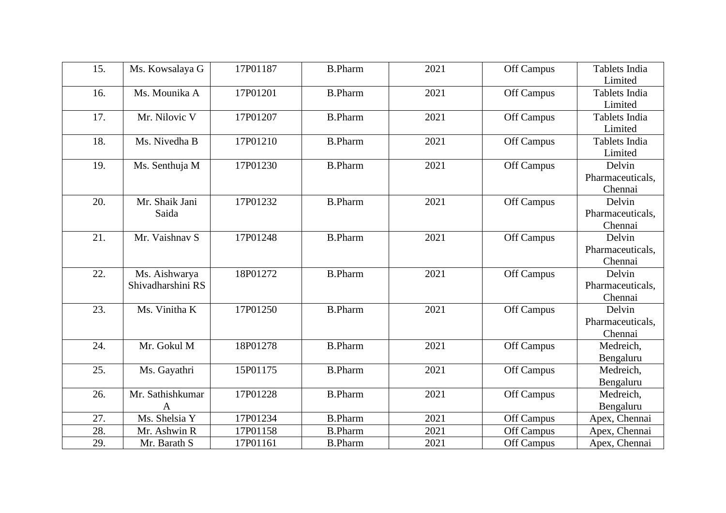| 15.<br>Ms. Kowsalaya G  | 17P01187 | <b>B.Pharm</b> | 2021 | Off Campus | Tablets India    |
|-------------------------|----------|----------------|------|------------|------------------|
|                         |          |                |      |            | Limited          |
| Ms. Mounika A<br>16.    | 17P01201 | <b>B.Pharm</b> | 2021 | Off Campus | Tablets India    |
|                         |          |                |      |            | Limited          |
| 17.<br>Mr. Nilovic V    | 17P01207 | <b>B.Pharm</b> | 2021 | Off Campus | Tablets India    |
|                         |          |                |      |            | Limited          |
| 18.<br>Ms. Nivedha B    | 17P01210 | <b>B.Pharm</b> | 2021 | Off Campus | Tablets India    |
|                         |          |                |      |            | Limited          |
| Ms. Senthuja M<br>19.   | 17P01230 | <b>B.Pharm</b> | 2021 | Off Campus | Delvin           |
|                         |          |                |      |            | Pharmaceuticals, |
|                         |          |                |      |            | Chennai          |
| 20.<br>Mr. Shaik Jani   | 17P01232 | <b>B.Pharm</b> | 2021 | Off Campus | Delvin           |
| Saida                   |          |                |      |            | Pharmaceuticals, |
|                         |          |                |      |            | Chennai          |
| 21.<br>Mr. Vaishnav S   | 17P01248 | <b>B.Pharm</b> | 2021 | Off Campus | Delvin           |
|                         |          |                |      |            | Pharmaceuticals, |
|                         |          |                |      |            | Chennai          |
| 22.<br>Ms. Aishwarya    | 18P01272 | <b>B.Pharm</b> | 2021 | Off Campus | Delvin           |
| Shivadharshini RS       |          |                |      |            | Pharmaceuticals, |
|                         |          |                |      |            | Chennai          |
| Ms. Vinitha K<br>23.    | 17P01250 | <b>B.Pharm</b> | 2021 | Off Campus | Delvin           |
|                         |          |                |      |            | Pharmaceuticals, |
|                         |          |                |      |            | Chennai          |
| 24.<br>Mr. Gokul M      | 18P01278 | <b>B.Pharm</b> | 2021 | Off Campus | Medreich,        |
|                         |          |                |      |            | Bengaluru        |
| 25.<br>Ms. Gayathri     | 15P01175 | <b>B.Pharm</b> | 2021 | Off Campus | Medreich,        |
|                         |          |                |      |            | Bengaluru        |
| Mr. Sathishkumar<br>26. | 17P01228 | <b>B.Pharm</b> | 2021 | Off Campus | Medreich,        |
| A                       |          |                |      |            | Bengaluru        |
| Ms. Shelsia Y<br>27.    | 17P01234 | <b>B.Pharm</b> | 2021 | Off Campus | Apex, Chennai    |
| 28.<br>Mr. Ashwin R     | 17P01158 | <b>B.Pharm</b> | 2021 | Off Campus | Apex, Chennai    |
| 29.<br>Mr. Barath S     | 17P01161 | <b>B.Pharm</b> | 2021 | Off Campus | Apex, Chennai    |
|                         |          |                |      |            |                  |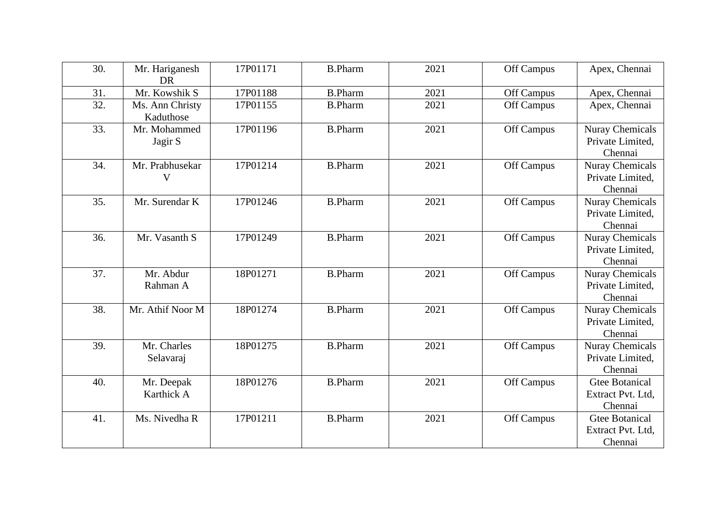| 30. | Mr. Hariganesh<br><b>DR</b>  | 17P01171 | <b>B.Pharm</b> | 2021 | Off Campus | Apex, Chennai                                         |
|-----|------------------------------|----------|----------------|------|------------|-------------------------------------------------------|
| 31. | Mr. Kowshik S                | 17P01188 | <b>B.Pharm</b> | 2021 | Off Campus | Apex, Chennai                                         |
| 32. | Ms. Ann Christy<br>Kaduthose | 17P01155 | <b>B.Pharm</b> | 2021 | Off Campus | Apex, Chennai                                         |
| 33. | Mr. Mohammed<br>Jagir S      | 17P01196 | <b>B.Pharm</b> | 2021 | Off Campus | <b>Nuray Chemicals</b><br>Private Limited,<br>Chennai |
| 34. | Mr. Prabhusekar<br>V         | 17P01214 | <b>B.Pharm</b> | 2021 | Off Campus | <b>Nuray Chemicals</b><br>Private Limited,<br>Chennai |
| 35. | Mr. Surendar K               | 17P01246 | <b>B.Pharm</b> | 2021 | Off Campus | <b>Nuray Chemicals</b><br>Private Limited,<br>Chennai |
| 36. | Mr. Vasanth S                | 17P01249 | <b>B.Pharm</b> | 2021 | Off Campus | <b>Nuray Chemicals</b><br>Private Limited,<br>Chennai |
| 37. | Mr. Abdur<br>Rahman A        | 18P01271 | <b>B.Pharm</b> | 2021 | Off Campus | <b>Nuray Chemicals</b><br>Private Limited,<br>Chennai |
| 38. | Mr. Athif Noor M             | 18P01274 | <b>B.Pharm</b> | 2021 | Off Campus | Nuray Chemicals<br>Private Limited,<br>Chennai        |
| 39. | Mr. Charles<br>Selavaraj     | 18P01275 | <b>B.Pharm</b> | 2021 | Off Campus | <b>Nuray Chemicals</b><br>Private Limited,<br>Chennai |
| 40. | Mr. Deepak<br>Karthick A     | 18P01276 | <b>B.Pharm</b> | 2021 | Off Campus | <b>Gtee Botanical</b><br>Extract Pvt. Ltd,<br>Chennai |
| 41. | Ms. Nivedha R                | 17P01211 | <b>B.Pharm</b> | 2021 | Off Campus | <b>Gtee Botanical</b><br>Extract Pvt. Ltd,<br>Chennai |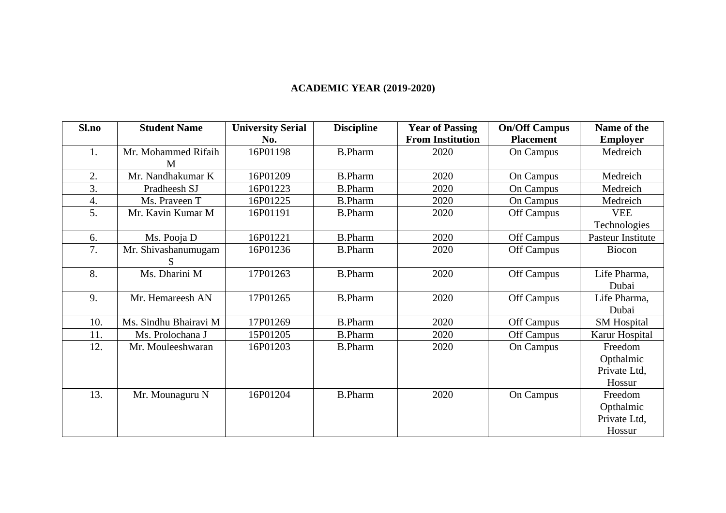## **ACADEMIC YEAR (2019-2020)**

| Sl.no | <b>Student Name</b>   | <b>University Serial</b> | <b>Discipline</b> | <b>Year of Passing</b>  | <b>On/Off Campus</b> | Name of the        |
|-------|-----------------------|--------------------------|-------------------|-------------------------|----------------------|--------------------|
|       |                       | No.                      |                   | <b>From Institution</b> | <b>Placement</b>     | <b>Employer</b>    |
| 1.    | Mr. Mohammed Rifaih   | 16P01198                 | <b>B.Pharm</b>    | 2020                    | On Campus            | Medreich           |
|       | M                     |                          |                   |                         |                      |                    |
| 2.    | Mr. Nandhakumar K     | 16P01209                 | <b>B.Pharm</b>    | 2020                    | On Campus            | Medreich           |
| 3.    | Pradheesh SJ          | 16P01223                 | <b>B.Pharm</b>    | 2020                    | On Campus            | Medreich           |
| 4.    | Ms. Praveen T         | 16P01225                 | <b>B.Pharm</b>    | 2020                    | On Campus            | Medreich           |
| 5.    | Mr. Kavin Kumar M     | 16P01191                 | <b>B.Pharm</b>    | 2020                    | Off Campus           | <b>VEE</b>         |
|       |                       |                          |                   |                         |                      | Technologies       |
| 6.    | Ms. Pooja D           | 16P01221                 | <b>B.Pharm</b>    | 2020                    | Off Campus           | Pasteur Institute  |
| 7.    | Mr. Shivashanumugam   | 16P01236                 | <b>B.Pharm</b>    | 2020                    | Off Campus           | Biocon             |
|       | S                     |                          |                   |                         |                      |                    |
| 8.    | Ms. Dharini M         | 17P01263                 | <b>B.Pharm</b>    | 2020                    | Off Campus           | Life Pharma,       |
|       |                       |                          |                   |                         |                      | Dubai              |
| 9.    | Mr. Hemareesh AN      | 17P01265                 | <b>B.Pharm</b>    | 2020                    | Off Campus           | Life Pharma,       |
|       |                       |                          |                   |                         |                      | Dubai              |
| 10.   | Ms. Sindhu Bhairavi M | 17P01269                 | <b>B.Pharm</b>    | 2020                    | Off Campus           | <b>SM</b> Hospital |
| 11.   | Ms. Prolochana J      | 15P01205                 | <b>B.Pharm</b>    | 2020                    | Off Campus           | Karur Hospital     |
| 12.   | Mr. Mouleeshwaran     | 16P01203                 | <b>B.Pharm</b>    | 2020                    | On Campus            | Freedom            |
|       |                       |                          |                   |                         |                      | Opthalmic          |
|       |                       |                          |                   |                         |                      | Private Ltd,       |
|       |                       |                          |                   |                         |                      | Hossur             |
| 13.   | Mr. Mounaguru N       | 16P01204                 | <b>B.Pharm</b>    | 2020                    | On Campus            | Freedom            |
|       |                       |                          |                   |                         |                      | Opthalmic          |
|       |                       |                          |                   |                         |                      | Private Ltd,       |
|       |                       |                          |                   |                         |                      | Hossur             |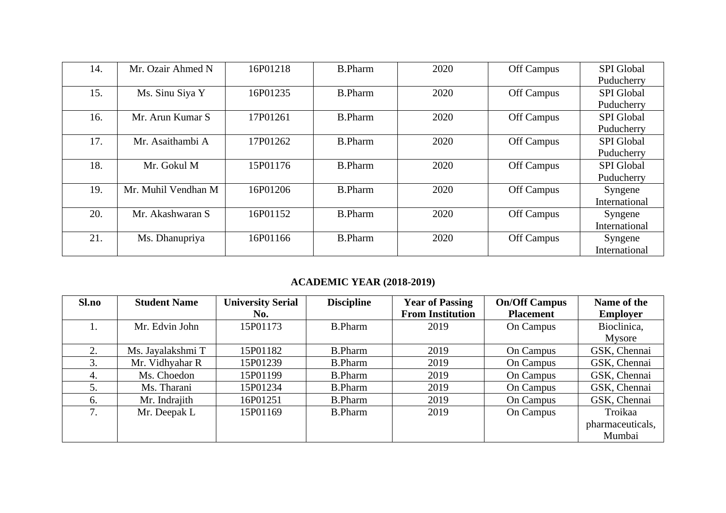| 14. | Mr. Ozair Ahmed N   | 16P01218 | <b>B.Pharm</b> | 2020 | Off Campus | <b>SPI</b> Global |
|-----|---------------------|----------|----------------|------|------------|-------------------|
|     |                     |          |                |      |            | Puducherry        |
| 15. | Ms. Sinu Siya Y     | 16P01235 | <b>B.Pharm</b> | 2020 | Off Campus | <b>SPI</b> Global |
|     |                     |          |                |      |            | Puducherry        |
| 16. | Mr. Arun Kumar S    | 17P01261 | <b>B.Pharm</b> | 2020 | Off Campus | <b>SPI</b> Global |
|     |                     |          |                |      |            | Puducherry        |
| 17. | Mr. Asaithambi A    | 17P01262 | <b>B.Pharm</b> | 2020 | Off Campus | <b>SPI</b> Global |
|     |                     |          |                |      |            | Puducherry        |
| 18. | Mr. Gokul M         | 15P01176 | <b>B.Pharm</b> | 2020 | Off Campus | <b>SPI</b> Global |
|     |                     |          |                |      |            | Puducherry        |
| 19. | Mr. Muhil Vendhan M | 16P01206 | <b>B.Pharm</b> | 2020 | Off Campus | Syngene           |
|     |                     |          |                |      |            | International     |
| 20. | Mr. Akashwaran S    | 16P01152 | <b>B.Pharm</b> | 2020 | Off Campus | Syngene           |
|     |                     |          |                |      |            | International     |
| 21. | Ms. Dhanupriya      | 16P01166 | <b>B.Pharm</b> | 2020 | Off Campus | Syngene           |
|     |                     |          |                |      |            | International     |

## **ACADEMIC YEAR (2018-2019)**

| Sl.no | <b>Student Name</b> | <b>University Serial</b> | <b>Discipline</b> | <b>Year of Passing</b>  | <b>On/Off Campus</b> | Name of the      |
|-------|---------------------|--------------------------|-------------------|-------------------------|----------------------|------------------|
|       |                     | No.                      |                   | <b>From Institution</b> | <b>Placement</b>     | <b>Employer</b>  |
| 1.    | Mr. Edvin John      | 15P01173                 | <b>B.Pharm</b>    | 2019                    | On Campus            | Bioclinica,      |
|       |                     |                          |                   |                         |                      | Mysore           |
|       | Ms. Jayalakshmi T   | 15P01182                 | <b>B.Pharm</b>    | 2019                    | On Campus            | GSK, Chennai     |
| 3.    | Mr. Vidhyahar R     | 15P01239                 | <b>B.Pharm</b>    | 2019                    | On Campus            | GSK, Chennai     |
| 4.    | Ms. Choedon         | 15P01199                 | <b>B.Pharm</b>    | 2019                    | On Campus            | GSK, Chennai     |
| 5.    | Ms. Tharani         | 15P01234                 | <b>B.Pharm</b>    | 2019                    | On Campus            | GSK, Chennai     |
| 6.    | Mr. Indrajith       | 16P01251                 | <b>B.Pharm</b>    | 2019                    | On Campus            | GSK, Chennai     |
| 7.    | Mr. Deepak L        | 15P01169                 | <b>B.Pharm</b>    | 2019                    | On Campus            | Troikaa          |
|       |                     |                          |                   |                         |                      | pharmaceuticals, |
|       |                     |                          |                   |                         |                      | Mumbai           |